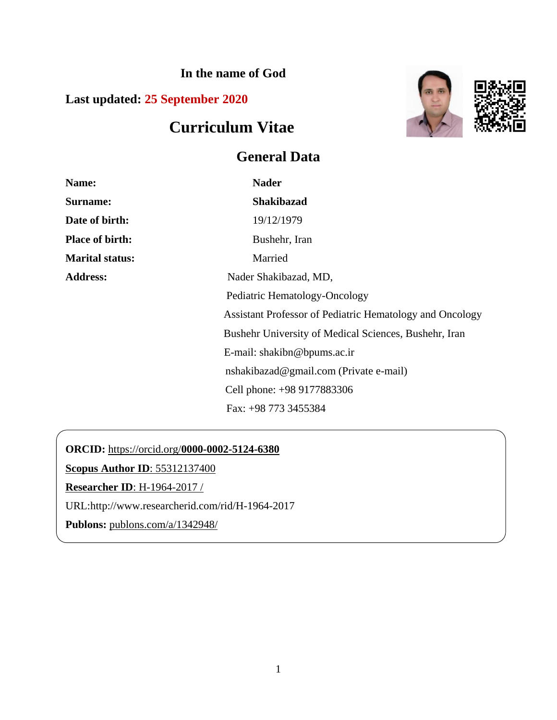**In the name of God**

**Last updated: 25 September 2020**

# **Curriculum Vitae**

# **General Data**



| Name:                  | <b>Nader</b>                                             |
|------------------------|----------------------------------------------------------|
| Surname:               | <b>Shakibazad</b>                                        |
| Date of birth:         | 19/12/1979                                               |
| <b>Place of birth:</b> | Bushehr, Iran                                            |
| <b>Marital status:</b> | Married                                                  |
| <b>Address:</b>        | Nader Shakibazad, MD,                                    |
|                        | Pediatric Hematology-Oncology                            |
|                        | Assistant Professor of Pediatric Hematology and Oncology |
|                        | Bushehr University of Medical Sciences, Bushehr, Iran    |
|                        | E-mail: shakibn@bpums.ac.ir                              |
|                        | nshakibazad@gmail.com (Private e-mail)                   |
|                        | Cell phone: +98 9177883306                               |
|                        | Fax: +98 773 3455384                                     |

**ORCID:** https://orcid.org/**[0000-0002-5124-6380](https://orcid.org/0000-0002-5124-6380)**

**[Scopus Author ID](http://www.scopus.com/inward/authorDetails.url?authorID=55312137400&partnerID=MN8TOARS)**: 55312137400

**[Researcher ID](http://www.researcherid.com/rid/H-1964-2017)**: H-1964-2017 /

URL:http://www.researcherid.com/rid/H-1964-2017

**Publons:** [publons.com/a/1342948/](https://publons.com/a/1342948/)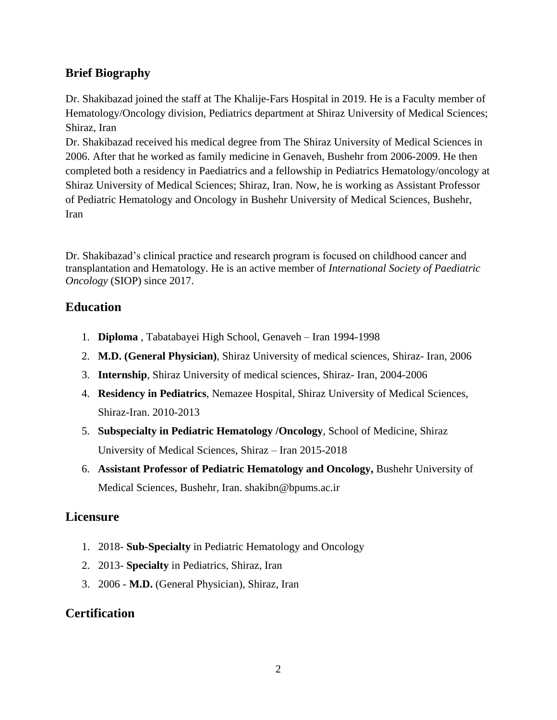# **Brief Biography**

Dr. Shakibazad joined the staff at The Khalije-Fars Hospital in 2019. He is a Faculty member of Hematology/Oncology division, Pediatrics department at Shiraz University of Medical Sciences; Shiraz, Iran

Dr. Shakibazad received his medical degree from The Shiraz University of Medical Sciences in 2006. After that he worked as family medicine in Genaveh, Bushehr from 2006-2009. He then completed both a residency in Paediatrics and a fellowship in Pediatrics Hematology/oncology at Shiraz University of Medical Sciences; Shiraz, Iran. Now, he is working as Assistant Professor of Pediatric Hematology and Oncology in Bushehr University of Medical Sciences, Bushehr, Iran

Dr. Shakibazad's clinical practice and research program is focused on childhood cancer and transplantation and Hematology. He is an active member of *International Society of Paediatric Oncology* (SIOP) since 2017.

#### **Education**

- 1. **Diploma** , Tabatabayei High School, Genaveh Iran 1994-1998
- 2. **M.D. (General Physician)**, Shiraz University of medical sciences, Shiraz- Iran, 2006
- 3. **Internship**, Shiraz University of medical sciences, Shiraz- Iran, 2004-2006
- 4. **Residency in Pediatrics**, Nemazee Hospital, Shiraz University of Medical Sciences, Shiraz-Iran. 2010-2013
- 5. **Subspecialty in Pediatric Hematology /Oncology**, School of Medicine, Shiraz University of Medical Sciences, Shiraz – Iran 2015-2018
- 6. **Assistant Professor of Pediatric Hematology and Oncology,** Bushehr University of Medical Sciences, Bushehr, Iran. shakibn@bpums.ac.ir

# **Licensure**

- 1. 2018- **Sub-Specialty** in Pediatric Hematology and Oncology
- 2. 2013- **Specialty** in Pediatrics, Shiraz, Iran
- 3. 2006 **M.D.** (General Physician), Shiraz, Iran

# **Certification**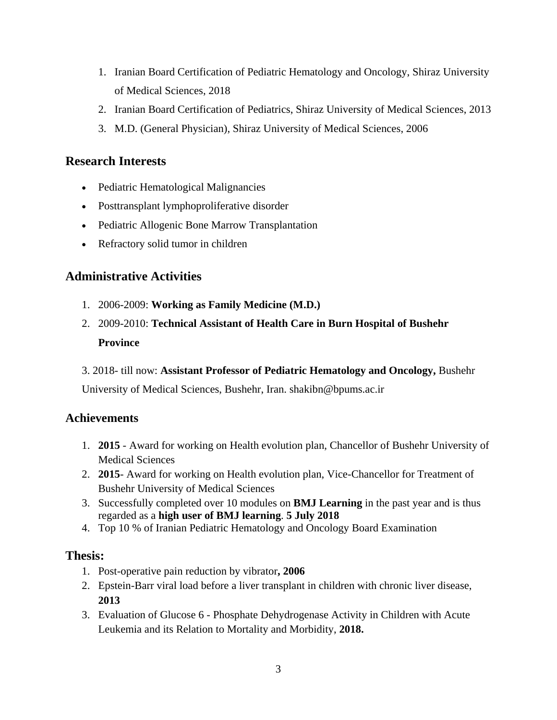- 1. Iranian Board Certification of Pediatric Hematology and Oncology, Shiraz University of Medical Sciences, 2018
- 2. Iranian Board Certification of Pediatrics, Shiraz University of Medical Sciences, 2013
- 3. M.D. (General Physician), Shiraz University of Medical Sciences, 2006

# **Research Interests**

- Pediatric Hematological Malignancies
- Posttransplant lymphoproliferative disorder
- Pediatric Allogenic Bone Marrow Transplantation
- Refractory solid tumor in children

# **Administrative Activities**

- 1. 2006-2009: **Working as Family Medicine (M.D.)**
- 2. 2009-2010: **Technical Assistant of Health Care in Burn Hospital of Bushehr Province**
- 3. 2018- till now: **Assistant Professor of Pediatric Hematology and Oncology,** Bushehr

University of Medical Sciences, Bushehr, Iran. shakibn@bpums.ac.ir

#### **Achievements**

- 1. **2015**  Award for working on Health evolution plan, Chancellor of Bushehr University of Medical Sciences
- 2. **2015** Award for working on Health evolution plan, Vice-Chancellor for Treatment of Bushehr University of Medical Sciences
- 3. Successfully completed over 10 modules on **BMJ Learning** in the past year and is thus regarded as a **high user of BMJ learning**. **5 July 2018**
- 4. Top 10 % of Iranian Pediatric Hematology and Oncology Board Examination

#### **Thesis:**

- 1. Post-operative pain reduction by vibrator**, 2006**
- 2. Epstein-Barr viral load before a liver transplant in children with chronic liver disease, **2013**
- 3. Evaluation of Glucose 6 Phosphate Dehydrogenase Activity in Children with Acute Leukemia and its Relation to Mortality and Morbidity, **2018.**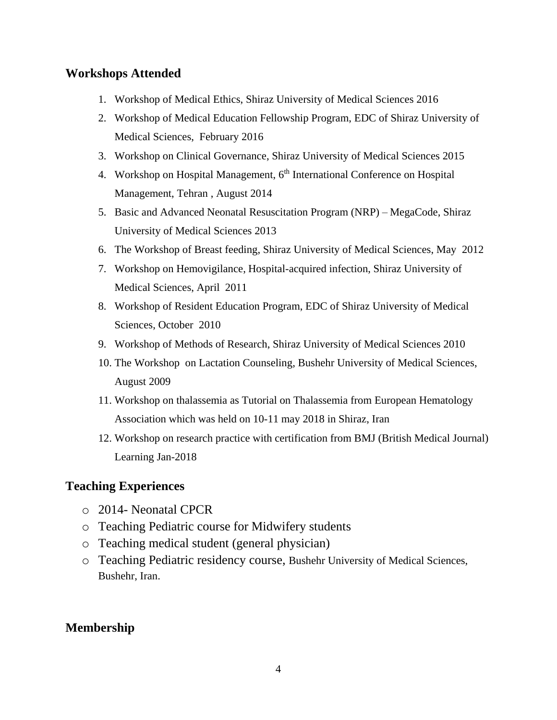# **Workshops Attended**

- 1. Workshop of Medical Ethics, Shiraz University of Medical Sciences 2016
- 2. Workshop of Medical Education Fellowship Program, EDC of Shiraz University of Medical Sciences, February 2016
- 3. Workshop on Clinical Governance, Shiraz University of Medical Sciences 2015
- 4. Workshop on Hospital Management,  $6<sup>th</sup>$  International Conference on Hospital Management, Tehran , August 2014
- 5. Basic and Advanced Neonatal Resuscitation Program (NRP) MegaCode, Shiraz University of Medical Sciences 2013
- 6. The Workshop of Breast feeding, Shiraz University of Medical Sciences, May 2012
- 7. Workshop on Hemovigilance, Hospital-acquired infection, Shiraz University of Medical Sciences, April 2011
- 8. Workshop of Resident Education Program, EDC of Shiraz University of Medical Sciences, October 2010
- 9. Workshop of Methods of Research, Shiraz University of Medical Sciences 2010
- 10. The Workshop on Lactation Counseling, Bushehr University of Medical Sciences, August 2009
- 11. Workshop on thalassemia as Tutorial on Thalassemia from European Hematology Association which was held on 10-11 may 2018 in Shiraz, Iran
- 12. Workshop on research practice with certification from BMJ (British Medical Journal) Learning Jan-2018

#### **Teaching Experiences**

- o 2014- Neonatal CPCR
- o Teaching Pediatric course for Midwifery students
- o Teaching medical student (general physician)
- o Teaching Pediatric residency course, Bushehr University of Medical Sciences, Bushehr, Iran.

#### **Membership**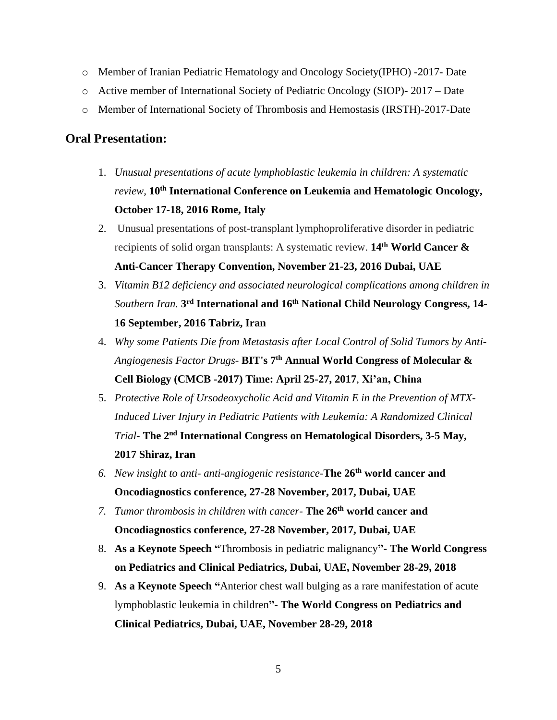- o Member of Iranian Pediatric Hematology and Oncology Society(IPHO) -2017- Date
- o Active member of International Society of Pediatric Oncology (SIOP)- 2017 Date
- o Member of International Society of Thrombosis and Hemostasis (IRSTH)-2017-Date

#### **Oral Presentation:**

- 1. *Unusual presentations of acute lymphoblastic leukemia in children: A systematic review,* **10th International Conference on Leukemia and Hematologic Oncology, October 17-18, 2016 Rome, Italy**
- 2. Unusual presentations of post-transplant lymphoproliferative disorder in pediatric recipients of solid organ transplants: A systematic review. **14th World Cancer & Anti-Cancer Therapy Convention, November 21-23, 2016 Dubai, UAE**
- 3. *Vitamin B12 deficiency and associated neurological complications among children in Southern Iran.* **3 rd International and 16th National Child Neurology Congress, 14- 16 September, 2016 Tabriz, Iran**
- 4. *Why some Patients Die from Metastasis after Local Control of Solid Tumors by Anti-Angiogenesis Factor Drugs*- **BIT's 7th [Annual World Congress of Molecular &](https://www.google.com/url?sa=t&rct=j&q=&esrc=s&source=web&cd=30&cad=rja&uact=8&ved=0ahUKEwjn1fD5xInVAhUIWBoKHV0xDN44FBAWCE4wCQ&url=http%3A%2F%2Fwww.bitcongress.com%2Fcmcb2017%2Fscientificprogram_4.asp&usg=AFQjCNHMJSbbUGfya8NnQRnfhZr7Pudjaw)  [Cell Biology \(CMCB -2017\) Time: April 25-27, 2017](https://www.google.com/url?sa=t&rct=j&q=&esrc=s&source=web&cd=30&cad=rja&uact=8&ved=0ahUKEwjn1fD5xInVAhUIWBoKHV0xDN44FBAWCE4wCQ&url=http%3A%2F%2Fwww.bitcongress.com%2Fcmcb2017%2Fscientificprogram_4.asp&usg=AFQjCNHMJSbbUGfya8NnQRnfhZr7Pudjaw)**, **Xi'an, China**
- 5. *Protective Role of Ursodeoxycholic Acid and Vitamin E in the Prevention of MTX-Induced Liver Injury in Pediatric Patients with Leukemia: A Randomized Clinical Trial*- **The 2nd International Congress on Hematological Disorders, 3-5 May, 2017 Shiraz, Iran**
- *6. New insight to anti- anti-angiogenic resistance-***The 26th world cancer and Oncodiagnostics conference, 27-28 November, 2017, Dubai, UAE**
- *7. Tumor thrombosis in children with cancer-* **The 26th world cancer and Oncodiagnostics conference, 27-28 November, 2017, Dubai, UAE**
- 8. **As a Keynote Speech "**Thrombosis in pediatric malignancy**"- The World Congress on Pediatrics and Clinical Pediatrics, Dubai, UAE, November 28-29, 2018**
- 9. **As a Keynote Speech "**Anterior chest wall bulging as a rare manifestation of acute lymphoblastic leukemia in children**"- The World Congress on Pediatrics and Clinical Pediatrics, Dubai, UAE, November 28-29, 2018**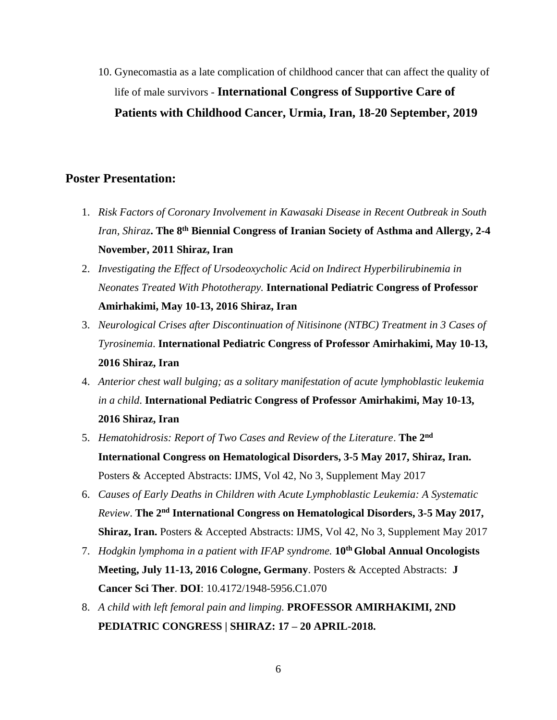10. Gynecomastia as a late complication of childhood cancer that can affect the quality of life of male survivors - **International Congress of Supportive Care of Patients with Childhood Cancer, Urmia, Iran, 18-20 September, 2019**

#### **Poster Presentation:**

- 1. *Risk Factors of Coronary Involvement in Kawasaki Disease in Recent Outbreak in South Iran, Shiraz***. The 8th Biennial Congress of Iranian Society of Asthma and Allergy, 2-4 November, 2011 Shiraz, Iran**
- 2. *Investigating the Effect of Ursodeoxycholic Acid on Indirect Hyperbilirubinemia in Neonates Treated With Phototherapy.* **International Pediatric Congress of Professor Amirhakimi, May 10-13, 2016 Shiraz, Iran**
- 3. *Neurological Crises after Discontinuation of Nitisinone (NTBC) Treatment in 3 Cases of Tyrosinemia*. **International Pediatric Congress of Professor Amirhakimi, May 10-13, 2016 Shiraz, Iran**
- 4. *Anterior chest wall bulging; as a solitary manifestation of acute lymphoblastic leukemia in a child*. **International Pediatric Congress of Professor Amirhakimi, May 10-13, 2016 Shiraz, Iran**
- 5. *Hematohidrosis: Report of Two Cases and Review of the Literature*. **The 2 nd International Congress on Hematological Disorders, 3-5 May 2017, Shiraz, Iran.**  Posters & Accepted Abstracts: IJMS, Vol 42, No 3, Supplement May 2017
- 6. *Causes of Early Deaths in Children with Acute Lymphoblastic Leukemia: A Systematic Review*. **The 2nd International Congress on Hematological Disorders, 3-5 May 2017, Shiraz, Iran.** Posters & Accepted Abstracts: IJMS, Vol 42, No 3, Supplement May 2017
- 7. *Hodgkin lymphoma in a patient with IFAP syndrome.* **10th Global Annual Oncologists Meeting, July 11-13, 2016 Cologne, Germany**. Posters & Accepted Abstracts: **J Cancer Sci Ther**. **DOI**: 10.4172/1948-5956.C1.070
- 8. *A child with left femoral pain and limping.* **PROFESSOR AMIRHAKIMI, 2ND PEDIATRIC CONGRESS | SHIRAZ: 17 – 20 APRIL-2018.**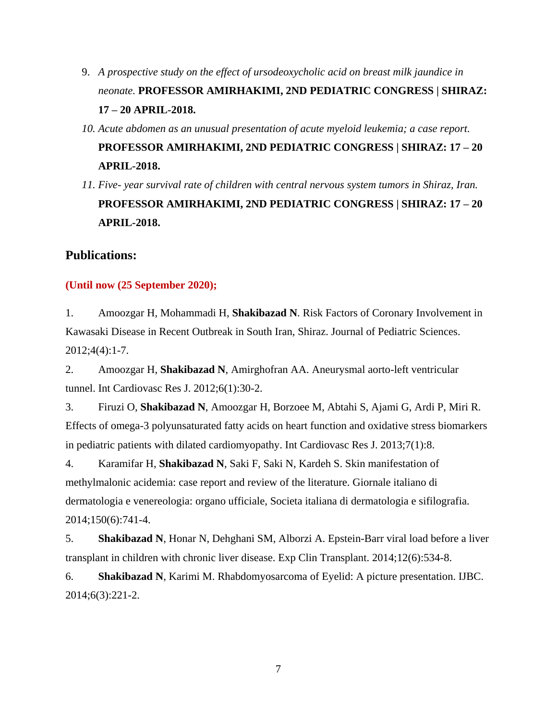- 9. *A prospective study on the effect of ursodeoxycholic acid on breast milk jaundice in neonate.* **PROFESSOR AMIRHAKIMI, 2ND PEDIATRIC CONGRESS | SHIRAZ: 17 – 20 APRIL-2018.**
- *10. Acute abdomen as an unusual presentation of acute myeloid leukemia; a case report.* **PROFESSOR AMIRHAKIMI, 2ND PEDIATRIC CONGRESS | SHIRAZ: 17 – 20 APRIL-2018.**
- *11. Five- year survival rate of children with central nervous system tumors in Shiraz, Iran.* **PROFESSOR AMIRHAKIMI, 2ND PEDIATRIC CONGRESS | SHIRAZ: 17 – 20 APRIL-2018.**

#### **Publications:**

#### **(Until now (25 September 2020);**

1. Amoozgar H, Mohammadi H, **Shakibazad N**. Risk Factors of Coronary Involvement in Kawasaki Disease in Recent Outbreak in South Iran, Shiraz. Journal of Pediatric Sciences. 2012;4(4):1-7.

2. Amoozgar H, **Shakibazad N**, Amirghofran AA. Aneurysmal aorto-left ventricular tunnel. Int Cardiovasc Res J. 2012;6(1):30-2.

3. Firuzi O, **Shakibazad N**, Amoozgar H, Borzoee M, Abtahi S, Ajami G, Ardi P, Miri R. Effects of omega-3 polyunsaturated fatty acids on heart function and oxidative stress biomarkers in pediatric patients with dilated cardiomyopathy. Int Cardiovasc Res J. 2013;7(1):8.

4. Karamifar H, **Shakibazad N**, Saki F, Saki N, Kardeh S. Skin manifestation of methylmalonic acidemia: case report and review of the literature. Giornale italiano di dermatologia e venereologia: organo ufficiale, Societa italiana di dermatologia e sifilografia. 2014;150(6):741-4.

5. **Shakibazad N**, Honar N, Dehghani SM, Alborzi A. Epstein-Barr viral load before a liver transplant in children with chronic liver disease. Exp Clin Transplant. 2014;12(6):534-8.

6. **Shakibazad N**, Karimi M. Rhabdomyosarcoma of Eyelid: A picture presentation. IJBC. 2014;6(3):221-2.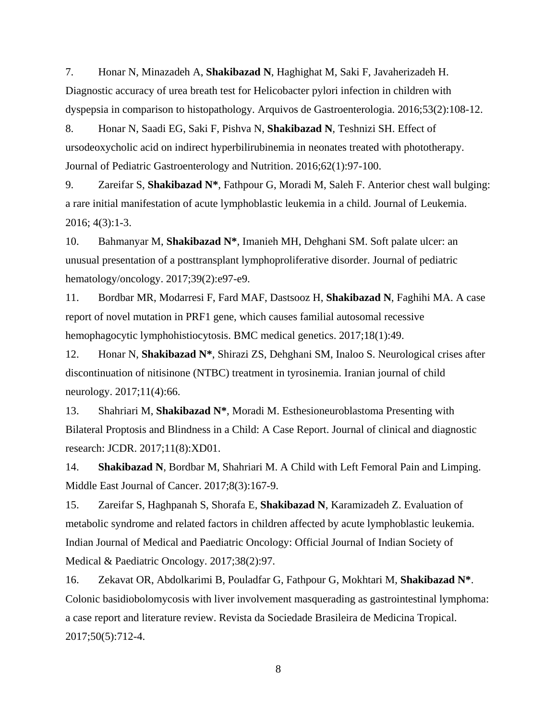7. Honar N, Minazadeh A, **Shakibazad N**, Haghighat M, Saki F, Javaherizadeh H. Diagnostic accuracy of urea breath test for Helicobacter pylori infection in children with dyspepsia in comparison to histopathology. Arquivos de Gastroenterologia. 2016;53(2):108-12.

8. Honar N, Saadi EG, Saki F, Pishva N, **Shakibazad N**, Teshnizi SH. Effect of ursodeoxycholic acid on indirect hyperbilirubinemia in neonates treated with phototherapy. Journal of Pediatric Gastroenterology and Nutrition. 2016;62(1):97-100.

9. Zareifar S, **Shakibazad N\***, Fathpour G, Moradi M, Saleh F. Anterior chest wall bulging: a rare initial manifestation of acute lymphoblastic leukemia in a child. Journal of Leukemia. 2016; 4(3):1-3.

10. Bahmanyar M, **Shakibazad N\***, Imanieh MH, Dehghani SM. Soft palate ulcer: an unusual presentation of a posttransplant lymphoproliferative disorder. Journal of pediatric hematology/oncology. 2017;39(2):e97-e9.

11. Bordbar MR, Modarresi F, Fard MAF, Dastsooz H, **Shakibazad N**, Faghihi MA. A case report of novel mutation in PRF1 gene, which causes familial autosomal recessive hemophagocytic lymphohistiocytosis. BMC medical genetics. 2017;18(1):49.

12. Honar N, **Shakibazad N\***, Shirazi ZS, Dehghani SM, Inaloo S. Neurological crises after discontinuation of nitisinone (NTBC) treatment in tyrosinemia. Iranian journal of child neurology. 2017;11(4):66.

13. Shahriari M, **Shakibazad N\***, Moradi M. Esthesioneuroblastoma Presenting with Bilateral Proptosis and Blindness in a Child: A Case Report. Journal of clinical and diagnostic research: JCDR. 2017;11(8):XD01.

14. **Shakibazad N**, Bordbar M, Shahriari M. A Child with Left Femoral Pain and Limping. Middle East Journal of Cancer. 2017;8(3):167-9.

15. Zareifar S, Haghpanah S, Shorafa E, **Shakibazad N**, Karamizadeh Z. Evaluation of metabolic syndrome and related factors in children affected by acute lymphoblastic leukemia. Indian Journal of Medical and Paediatric Oncology: Official Journal of Indian Society of Medical & Paediatric Oncology. 2017;38(2):97.

16. Zekavat OR, Abdolkarimi B, Pouladfar G, Fathpour G, Mokhtari M, **Shakibazad N\***. Colonic basidiobolomycosis with liver involvement masquerading as gastrointestinal lymphoma: a case report and literature review. Revista da Sociedade Brasileira de Medicina Tropical. 2017;50(5):712-4.

8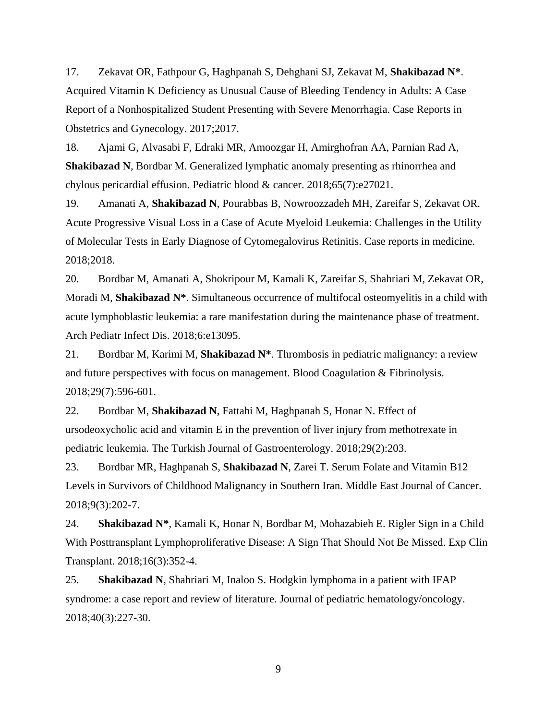17. Zekavat OR, Fathpour G, Haghpanah S, Dehghani SJ, Zekavat M, **Shakibazad N\***. Acquired Vitamin K Deficiency as Unusual Cause of Bleeding Tendency in Adults: A Case Report of a Nonhospitalized Student Presenting with Severe Menorrhagia. Case Reports in Obstetrics and Gynecology. 2017;2017.

18. Ajami G, Alvasabi F, Edraki MR, Amoozgar H, Amirghofran AA, Parnian Rad A, **Shakibazad N**, Bordbar M. Generalized lymphatic anomaly presenting as rhinorrhea and chylous pericardial effusion. Pediatric blood & cancer. 2018;65(7):e27021.

19. Amanati A, **Shakibazad N**, Pourabbas B, Nowroozzadeh MH, Zareifar S, Zekavat OR. Acute Progressive Visual Loss in a Case of Acute Myeloid Leukemia: Challenges in the Utility of Molecular Tests in Early Diagnose of Cytomegalovirus Retinitis. Case reports in medicine. 2018;2018.

20. Bordbar M, Amanati A, Shokripour M, Kamali K, Zareifar S, Shahriari M, Zekavat OR, Moradi M, **Shakibazad N\***. Simultaneous occurrence of multifocal osteomyelitis in a child with acute lymphoblastic leukemia: a rare manifestation during the maintenance phase of treatment. Arch Pediatr Infect Dis. 2018;6:e13095.

21. Bordbar M, Karimi M, **Shakibazad N\***. Thrombosis in pediatric malignancy: a review and future perspectives with focus on management. Blood Coagulation & Fibrinolysis. 2018;29(7):596-601.

22. Bordbar M, **Shakibazad N**, Fattahi M, Haghpanah S, Honar N. Effect of ursodeoxycholic acid and vitamin E in the prevention of liver injury from methotrexate in pediatric leukemia. The Turkish Journal of Gastroenterology. 2018;29(2):203.

23. Bordbar MR, Haghpanah S, **Shakibazad N**, Zarei T. Serum Folate and Vitamin B12 Levels in Survivors of Childhood Malignancy in Southern Iran. Middle East Journal of Cancer. 2018;9(3):202-7.

24. **Shakibazad N\***, Kamali K, Honar N, Bordbar M, Mohazabieh E. Rigler Sign in a Child With Posttransplant Lymphoproliferative Disease: A Sign That Should Not Be Missed. Exp Clin Transplant. 2018;16(3):352-4.

25. **Shakibazad N**, Shahriari M, Inaloo S. Hodgkin lymphoma in a patient with IFAP syndrome: a case report and review of literature. Journal of pediatric hematology/oncology. 2018;40(3):227-30.

9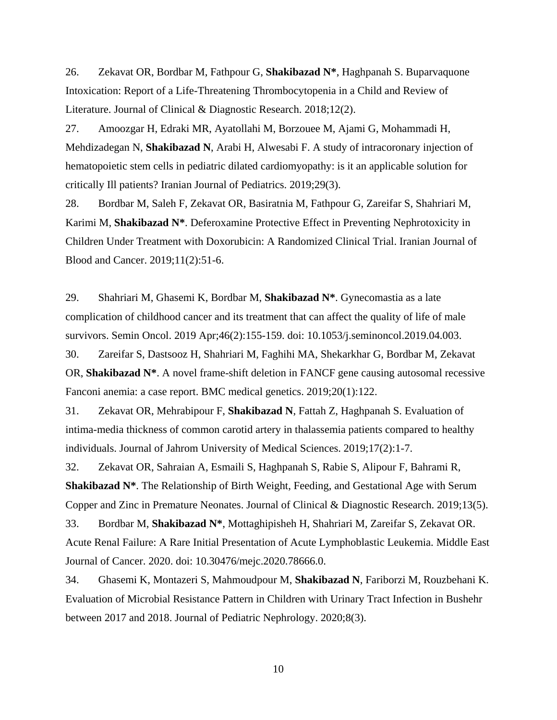26. Zekavat OR, Bordbar M, Fathpour G, **Shakibazad N\***, Haghpanah S. Buparvaquone Intoxication: Report of a Life-Threatening Thrombocytopenia in a Child and Review of Literature. Journal of Clinical & Diagnostic Research. 2018;12(2).

27. Amoozgar H, Edraki MR, Ayatollahi M, Borzouee M, Ajami G, Mohammadi H, Mehdizadegan N, **Shakibazad N**, Arabi H, Alwesabi F. A study of intracoronary injection of hematopoietic stem cells in pediatric dilated cardiomyopathy: is it an applicable solution for critically Ill patients? Iranian Journal of Pediatrics. 2019;29(3).

28. Bordbar M, Saleh F, Zekavat OR, Basiratnia M, Fathpour G, Zareifar S, Shahriari M, Karimi M, **Shakibazad N\***. Deferoxamine Protective Effect in Preventing Nephrotoxicity in Children Under Treatment with Doxorubicin: A Randomized Clinical Trial. Iranian Journal of Blood and Cancer. 2019;11(2):51-6.

29. Shahriari M, Ghasemi K, Bordbar M, **Shakibazad N\***. Gynecomastia as a late complication of childhood cancer and its treatment that can affect the quality of life of male survivors. Semin Oncol. 2019 Apr;46(2):155-159. doi: 10.1053/j.seminoncol.2019.04.003.

30. Zareifar S, Dastsooz H, Shahriari M, Faghihi MA, Shekarkhar G, Bordbar M, Zekavat OR, **Shakibazad N\***. A novel frame-shift deletion in FANCF gene causing autosomal recessive Fanconi anemia: a case report. BMC medical genetics. 2019;20(1):122.

31. Zekavat OR, Mehrabipour F, **Shakibazad N**, Fattah Z, Haghpanah S. Evaluation of intima-media thickness of common carotid artery in thalassemia patients compared to healthy individuals. Journal of Jahrom University of Medical Sciences. 2019;17(2):1-7.

32. Zekavat OR, Sahraian A, Esmaili S, Haghpanah S, Rabie S, Alipour F, Bahrami R, **Shakibazad N\***. The Relationship of Birth Weight, Feeding, and Gestational Age with Serum Copper and Zinc in Premature Neonates. Journal of Clinical & Diagnostic Research. 2019;13(5).

33. Bordbar M, **Shakibazad N\***, Mottaghipisheh H, Shahriari M, Zareifar S, Zekavat OR. Acute Renal Failure: A Rare Initial Presentation of Acute Lymphoblastic Leukemia. Middle East Journal of Cancer. 2020. doi: 10.30476/mejc.2020.78666.0.

34. Ghasemi K, Montazeri S, Mahmoudpour M, **Shakibazad N**, Fariborzi M, Rouzbehani K. Evaluation of Microbial Resistance Pattern in Children with Urinary Tract Infection in Bushehr between 2017 and 2018. Journal of Pediatric Nephrology. 2020;8(3).

10